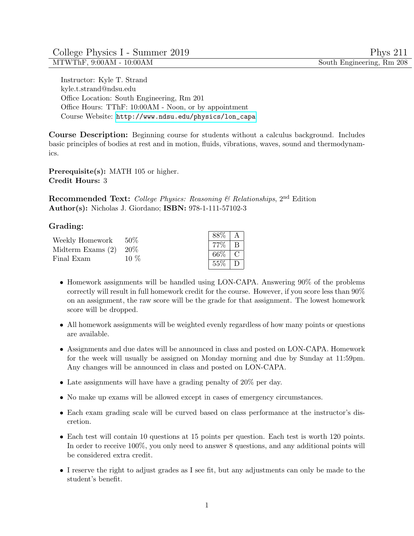Instructor: Kyle T. Strand kyle.t.strand@ndsu.edu Office Location: South Engineering, Rm 201 Office Hours: TThF: 10:00AM - Noon, or by appointment Course Website: [http://www.ndsu.edu/physics/lon\\_capa](http://www.ndsu.edu/physics/lon_capa)

Course Description: Beginning course for students without a calculus background. Includes basic principles of bodies at rest and in motion, fluids, vibrations, waves, sound and thermodynamics.

Prerequisite(s): MATH 105 or higher. Credit Hours: 3

**Recommended Text:** College Physics: Reasoning & Relationships,  $2<sup>nd</sup>$  Edition Author(s): Nicholas J. Giordano; ISBN: 978-1-111-57102-3

## Grading:

| Weekly Homework $50\%$                | 10 $%$ | $88\%$   A       |              |
|---------------------------------------|--------|------------------|--------------|
| Midterm Exams $(2)$ 20%<br>Final Exam |        | $\mid 77\% \mid$ | <sup>B</sup> |
|                                       |        | $-66\%$   C      |              |
|                                       |        | $55\% \mid D$    |              |

- Homework assignments will be handled using LON-CAPA. Answering 90% of the problems correctly will result in full homework credit for the course. However, if you score less than 90% on an assignment, the raw score will be the grade for that assignment. The lowest homework score will be dropped.
- All homework assignments will be weighted evenly regardless of how many points or questions are available.
- Assignments and due dates will be announced in class and posted on LON-CAPA. Homework for the week will usually be assigned on Monday morning and due by Sunday at 11:59pm. Any changes will be announced in class and posted on LON-CAPA.
- Late assignments will have have a grading penalty of 20% per day.
- No make up exams will be allowed except in cases of emergency circumstances.
- Each exam grading scale will be curved based on class performance at the instructor's discretion.
- Each test will contain 10 questions at 15 points per question. Each test is worth 120 points. In order to receive 100%, you only need to answer 8 questions, and any additional points will be considered extra credit.
- I reserve the right to adjust grades as I see fit, but any adjustments can only be made to the student's benefit.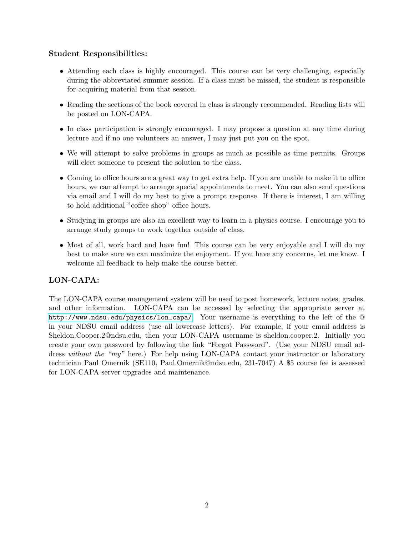## Student Responsibilities:

- Attending each class is highly encouraged. This course can be very challenging, especially during the abbreviated summer session. If a class must be missed, the student is responsible for acquiring material from that session.
- Reading the sections of the book covered in class is strongly recommended. Reading lists will be posted on LON-CAPA.
- In class participation is strongly encouraged. I may propose a question at any time during lecture and if no one volunteers an answer, I may just put you on the spot.
- We will attempt to solve problems in groups as much as possible as time permits. Groups will elect someone to present the solution to the class.
- Coming to office hours are a great way to get extra help. If you are unable to make it to office hours, we can attempt to arrange special appointments to meet. You can also send questions via email and I will do my best to give a prompt response. If there is interest, I am willing to hold additional "coffee shop" office hours.
- Studying in groups are also an excellent way to learn in a physics course. I encourage you to arrange study groups to work together outside of class.
- Most of all, work hard and have fun! This course can be very enjoyable and I will do my best to make sure we can maximize the enjoyment. If you have any concerns, let me know. I welcome all feedback to help make the course better.

### LON-CAPA:

The LON-CAPA course management system will be used to post homework, lecture notes, grades, and other information. LON-CAPA can be accessed by selecting the appropriate server at [http://www.ndsu.edu/physics/lon\\_capa/](http://www.ndsu.edu/physics/lon_capa/). Your username is everything to the left of the @ in your NDSU email address (use all lowercase letters). For example, if your email address is Sheldon.Cooper.2@ndsu.edu, then your LON-CAPA username is sheldon.cooper.2. Initially you create your own password by following the link "Forgot Password". (Use your NDSU email address without the "my" here.) For help using LON-CAPA contact your instructor or laboratory technician Paul Omernik (SE110, Paul.Omernik@ndsu.edu, 231-7047) A \$5 course fee is assessed for LON-CAPA server upgrades and maintenance.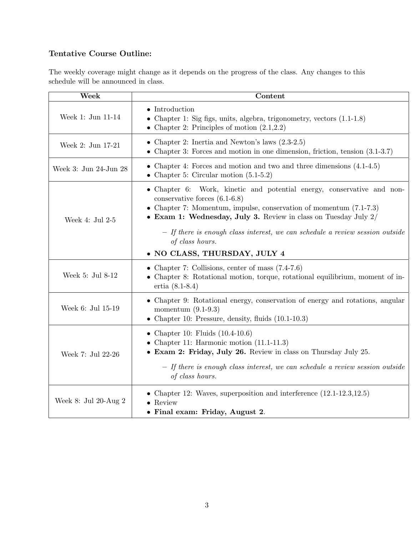# Tentative Course Outline:

The weekly coverage might change as it depends on the progress of the class. Any changes to this schedule will be announced in class.

| Week                   | Content                                                                                                                                                                                                                                                                                                                                                                                    |
|------------------------|--------------------------------------------------------------------------------------------------------------------------------------------------------------------------------------------------------------------------------------------------------------------------------------------------------------------------------------------------------------------------------------------|
| Week 1: Jun 11-14      | $\bullet$ Introduction<br>• Chapter 1: Sig figs, units, algebra, trigonometry, vectors $(1.1-1.8)$<br>• Chapter 2: Principles of motion $(2.1,2.2)$                                                                                                                                                                                                                                        |
| Week 2: Jun 17-21      | • Chapter 2: Inertia and Newton's laws $(2.3-2.5)$<br>• Chapter 3: Forces and motion in one dimension, friction, tension $(3.1-3.7)$                                                                                                                                                                                                                                                       |
| Week 3: Jun 24-Jun 28  | • Chapter 4: Forces and motion and two and three dimensions $(4.1-4.5)$<br>• Chapter 5: Circular motion $(5.1\n-5.2)$                                                                                                                                                                                                                                                                      |
| Week 4: Jul 2-5        | • Chapter 6: Work, kinetic and potential energy, conservative and non-<br>conservative forces $(6.1-6.8)$<br>• Chapter 7: Momentum, impulse, conservation of momentum $(7.1-7.3)$<br>• Exam 1: Wednesday, July 3. Review in class on Tuesday July $2/$<br>- If there is enough class interest, we can schedule a review session outside<br>of class hours.<br>· NO CLASS, THURSDAY, JULY 4 |
| Week 5: Jul 8-12       | • Chapter 7: Collisions, center of mass $(7.4-7.6)$<br>• Chapter 8: Rotational motion, torque, rotational equilibrium, moment of in-<br>ertia $(8.1 - 8.4)$                                                                                                                                                                                                                                |
| Week 6: Jul 15-19      | • Chapter 9: Rotational energy, conservation of energy and rotations, angular<br>momentum $(9.1-9.3)$<br>• Chapter 10: Pressure, density, fluids $(10.1\n-10.3)$                                                                                                                                                                                                                           |
| Week 7: Jul 22-26      | • Chapter 10: Fluids $(10.4\n-10.6)$<br>• Chapter 11: Harmonic motion $(11.1-11.3)$<br>• Exam 2: Friday, July 26. Review in class on Thursday July 25.<br>- If there is enough class interest, we can schedule a review session outside<br>of class hours.                                                                                                                                 |
| Week 8: Jul 20-Aug $2$ | • Chapter 12: Waves, superposition and interference $(12.1-12.3, 12.5)$<br>$\bullet$ Review<br>• Final exam: Friday, August 2.                                                                                                                                                                                                                                                             |